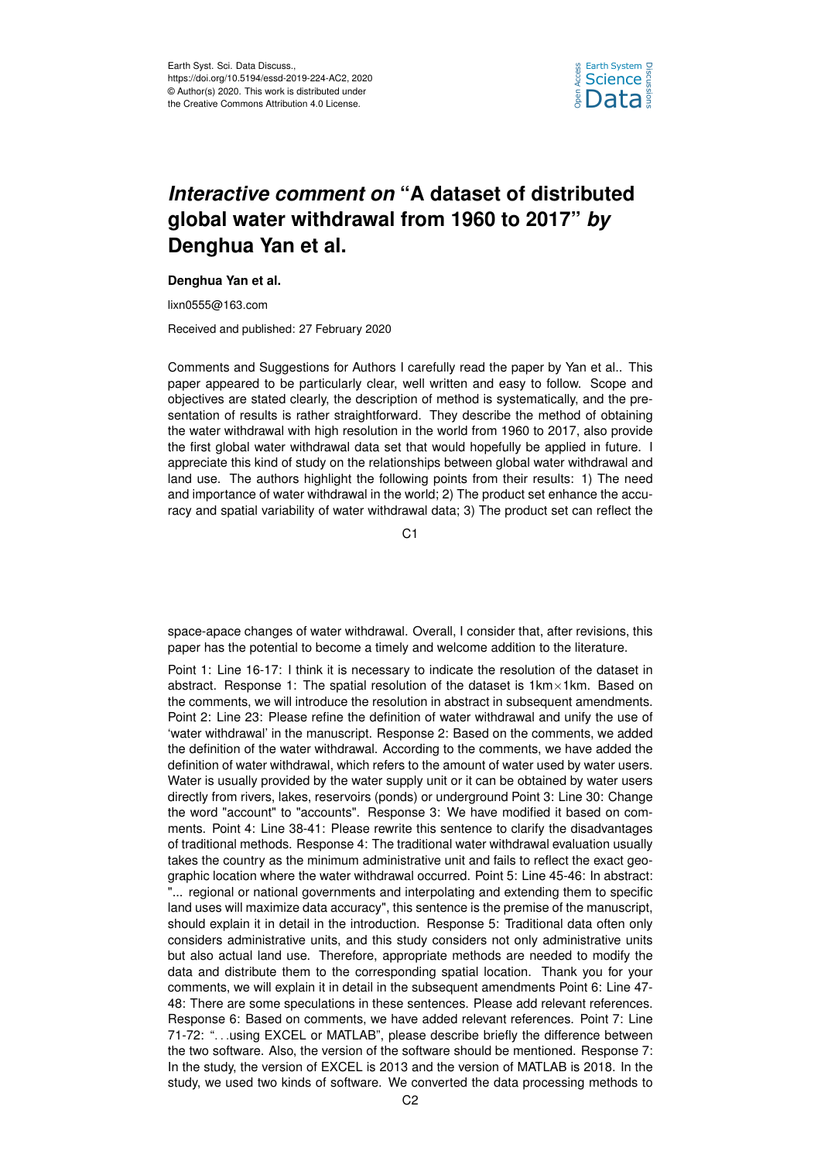

## *Interactive comment on* **"A dataset of distributed global water withdrawal from 1960 to 2017"** *by* **Denghua Yan et al.**

## **Denghua Yan et al.**

lixn0555@163.com

Received and published: 27 February 2020

Comments and Suggestions for Authors I carefully read the paper by Yan et al.. This paper appeared to be particularly clear, well written and easy to follow. Scope and objectives are stated clearly, the description of method is systematically, and the presentation of results is rather straightforward. They describe the method of obtaining the water withdrawal with high resolution in the world from 1960 to 2017, also provide the first global water withdrawal data set that would hopefully be applied in future. I appreciate this kind of study on the relationships between global water withdrawal and land use. The authors highlight the following points from their results: 1) The need and importance of water withdrawal in the world; 2) The product set enhance the accuracy and spatial variability of water withdrawal data; 3) The product set can reflect the

C<sub>1</sub>

space-apace changes of water withdrawal. Overall, I consider that, after revisions, this paper has the potential to become a timely and welcome addition to the literature.

Point 1: Line 16-17: I think it is necessary to indicate the resolution of the dataset in abstract. Response 1: The spatial resolution of the dataset is 1km×1km. Based on the comments, we will introduce the resolution in abstract in subsequent amendments. Point 2: Line 23: Please refine the definition of water withdrawal and unify the use of 'water withdrawal' in the manuscript. Response 2: Based on the comments, we added the definition of the water withdrawal. According to the comments, we have added the definition of water withdrawal, which refers to the amount of water used by water users. Water is usually provided by the water supply unit or it can be obtained by water users directly from rivers, lakes, reservoirs (ponds) or underground Point 3: Line 30: Change the word "account" to "accounts". Response 3: We have modified it based on comments. Point 4: Line 38-41: Please rewrite this sentence to clarify the disadvantages of traditional methods. Response 4: The traditional water withdrawal evaluation usually takes the country as the minimum administrative unit and fails to reflect the exact geographic location where the water withdrawal occurred. Point 5: Line 45-46: In abstract: "... regional or national governments and interpolating and extending them to specific land uses will maximize data accuracy", this sentence is the premise of the manuscript, should explain it in detail in the introduction. Response 5: Traditional data often only considers administrative units, and this study considers not only administrative units but also actual land use. Therefore, appropriate methods are needed to modify the data and distribute them to the corresponding spatial location. Thank you for your comments, we will explain it in detail in the subsequent amendments Point 6: Line 47- 48: There are some speculations in these sentences. Please add relevant references. Response 6: Based on comments, we have added relevant references. Point 7: Line 71-72: ". . .using EXCEL or MATLAB", please describe briefly the difference between the two software. Also, the version of the software should be mentioned. Response 7: In the study, the version of EXCEL is 2013 and the version of MATLAB is 2018. In the study, we used two kinds of software. We converted the data processing methods to